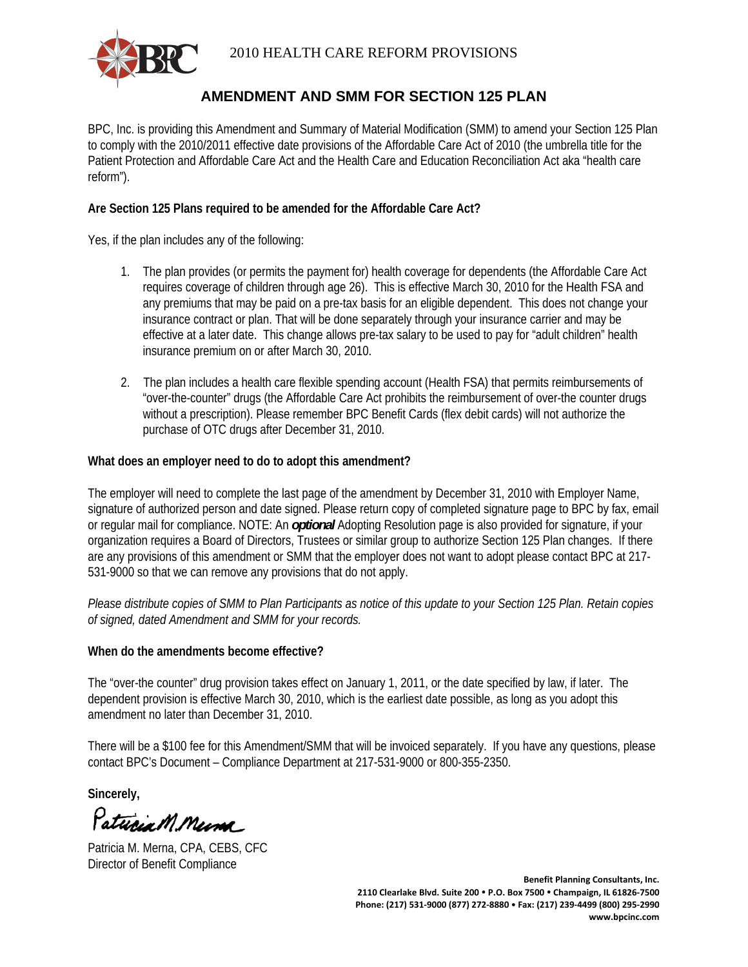

# **AMENDMENT AND SMM FOR SECTION 125 PLAN**

BPC, Inc. is providing this Amendment and Summary of Material Modification (SMM) to amend your Section 125 Plan to comply with the 2010/2011 effective date provisions of the Affordable Care Act of 2010 (the umbrella title for the Patient Protection and Affordable Care Act and the Health Care and Education Reconciliation Act aka "health care reform").

## **Are Section 125 Plans required to be amended for the Affordable Care Act?**

Yes, if the plan includes any of the following:

- 1. The plan provides (or permits the payment for) health coverage for dependents (the Affordable Care Act requires coverage of children through age 26). This is effective March 30, 2010 for the Health FSA and any premiums that may be paid on a pre-tax basis for an eligible dependent. This does not change your insurance contract or plan. That will be done separately through your insurance carrier and may be effective at a later date. This change allows pre-tax salary to be used to pay for "adult children" health insurance premium on or after March 30, 2010.
- 2. The plan includes a health care flexible spending account (Health FSA) that permits reimbursements of "over-the-counter" drugs (the Affordable Care Act prohibits the reimbursement of over-the counter drugs without a prescription). Please remember BPC Benefit Cards (flex debit cards) will not authorize the purchase of OTC drugs after December 31, 2010.

## **What does an employer need to do to adopt this amendment?**

The employer will need to complete the last page of the amendment by December 31, 2010 with Employer Name, signature of authorized person and date signed. Please return copy of completed signature page to BPC by fax, email or regular mail for compliance. NOTE: An *optional* Adopting Resolution page is also provided for signature, if your organization requires a Board of Directors, Trustees or similar group to authorize Section 125 Plan changes. If there are any provisions of this amendment or SMM that the employer does not want to adopt please contact BPC at 217- 531-9000 so that we can remove any provisions that do not apply.

*Please distribute copies of SMM to Plan Participants as notice of this update to your Section 125 Plan. Retain copies of signed, dated Amendment and SMM for your records.* 

## **When do the amendments become effective?**

The "over-the counter" drug provision takes effect on January 1, 2011, or the date specified by law, if later. The dependent provision is effective March 30, 2010, which is the earliest date possible, as long as you adopt this amendment no later than December 31, 2010.

There will be a \$100 fee for this Amendment/SMM that will be invoiced separately. If you have any questions, please contact BPC's Document – Compliance Department at 217-531-9000 or 800-355-2350.

**Sincerely,** 

Patucia M. Mema

Patricia M. Merna, CPA, CEBS, CFC Director of Benefit Compliance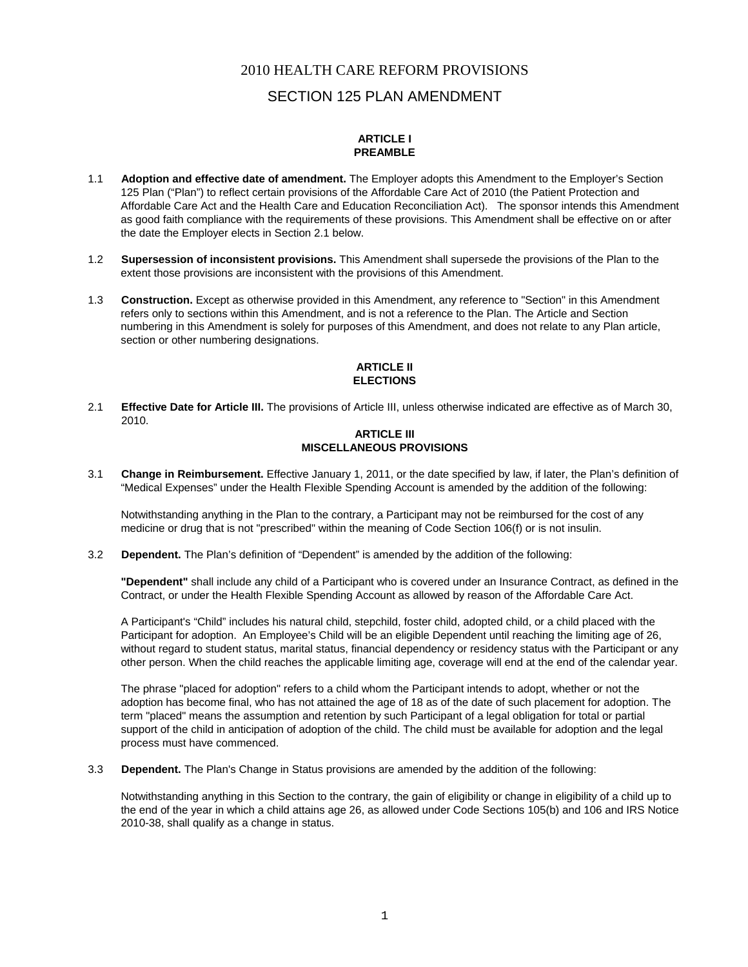## SECTION 125 PLAN AMENDMENT

#### **ARTICLE I PREAMBLE**

- 1.1 **Adoption and effective date of amendment.** The Employer adopts this Amendment to the Employer's Section 125 Plan ("Plan") to reflect certain provisions of the Affordable Care Act of 2010 (the Patient Protection and Affordable Care Act and the Health Care and Education Reconciliation Act). The sponsor intends this Amendment as good faith compliance with the requirements of these provisions. This Amendment shall be effective on or after the date the Employer elects in Section 2.1 below.
- 1.2 **Supersession of inconsistent provisions.** This Amendment shall supersede the provisions of the Plan to the extent those provisions are inconsistent with the provisions of this Amendment.
- 1.3 **Construction.** Except as otherwise provided in this Amendment, any reference to "Section" in this Amendment refers only to sections within this Amendment, and is not a reference to the Plan. The Article and Section numbering in this Amendment is solely for purposes of this Amendment, and does not relate to any Plan article, section or other numbering designations.

#### **ARTICLE II ELECTIONS**

2.1 **Effective Date for Article III.** The provisions of Article III, unless otherwise indicated are effective as of March 30, 2010.

#### **ARTICLE III MISCELLANEOUS PROVISIONS**

3.1 **Change in Reimbursement.** Effective January 1, 2011, or the date specified by law, if later, the Plan's definition of "Medical Expenses" under the Health Flexible Spending Account is amended by the addition of the following:

Notwithstanding anything in the Plan to the contrary, a Participant may not be reimbursed for the cost of any medicine or drug that is not "prescribed" within the meaning of Code Section 106(f) or is not insulin.

3.2 **Dependent.** The Plan's definition of "Dependent" is amended by the addition of the following:

**"Dependent"** shall include any child of a Participant who is covered under an Insurance Contract, as defined in the Contract, or under the Health Flexible Spending Account as allowed by reason of the Affordable Care Act.

A Participant's "Child" includes his natural child, stepchild, foster child, adopted child, or a child placed with the Participant for adoption. An Employee's Child will be an eligible Dependent until reaching the limiting age of 26, without regard to student status, marital status, financial dependency or residency status with the Participant or any other person. When the child reaches the applicable limiting age, coverage will end at the end of the calendar year.

The phrase "placed for adoption" refers to a child whom the Participant intends to adopt, whether or not the adoption has become final, who has not attained the age of 18 as of the date of such placement for adoption. The term "placed" means the assumption and retention by such Participant of a legal obligation for total or partial support of the child in anticipation of adoption of the child. The child must be available for adoption and the legal process must have commenced.

3.3 **Dependent.** The Plan's Change in Status provisions are amended by the addition of the following:

Notwithstanding anything in this Section to the contrary, the gain of eligibility or change in eligibility of a child up to the end of the year in which a child attains age 26, as allowed under Code Sections 105(b) and 106 and IRS Notice 2010-38, shall qualify as a change in status.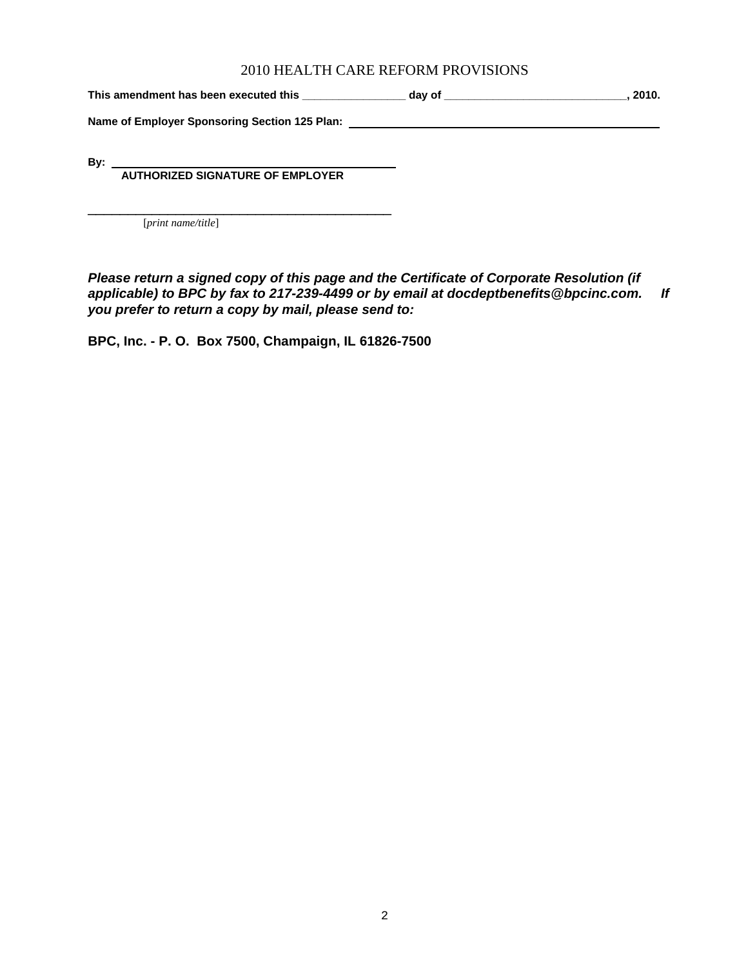This amendment has been executed this \_\_\_\_\_\_\_\_\_\_\_\_\_\_\_\_\_\_\_ day of \_\_\_\_\_\_\_\_\_\_\_\_\_\_\_\_\_\_\_\_\_\_\_\_\_\_\_\_\_\_\_\_, 2010.

**Name of Employer Sponsoring Section 125 Plan:** 

**By:** 

 **AUTHORIZED SIGNATURE OF EMPLOYER** 

[*print name/title*]

*Please return a signed copy of this page and the Certificate of Corporate Resolution (if applicable) to BPC by fax to 217-239-4499 or by email at docdeptbenefits@bpcinc.com. If you prefer to return a copy by mail, please send to:* 

 $\mathcal{L}_\text{max}$  , and the set of the set of the set of the set of the set of the set of the set of the set of the set of the set of the set of the set of the set of the set of the set of the set of the set of the set of the

**BPC, Inc. - P. O. Box 7500, Champaign, IL 61826-7500**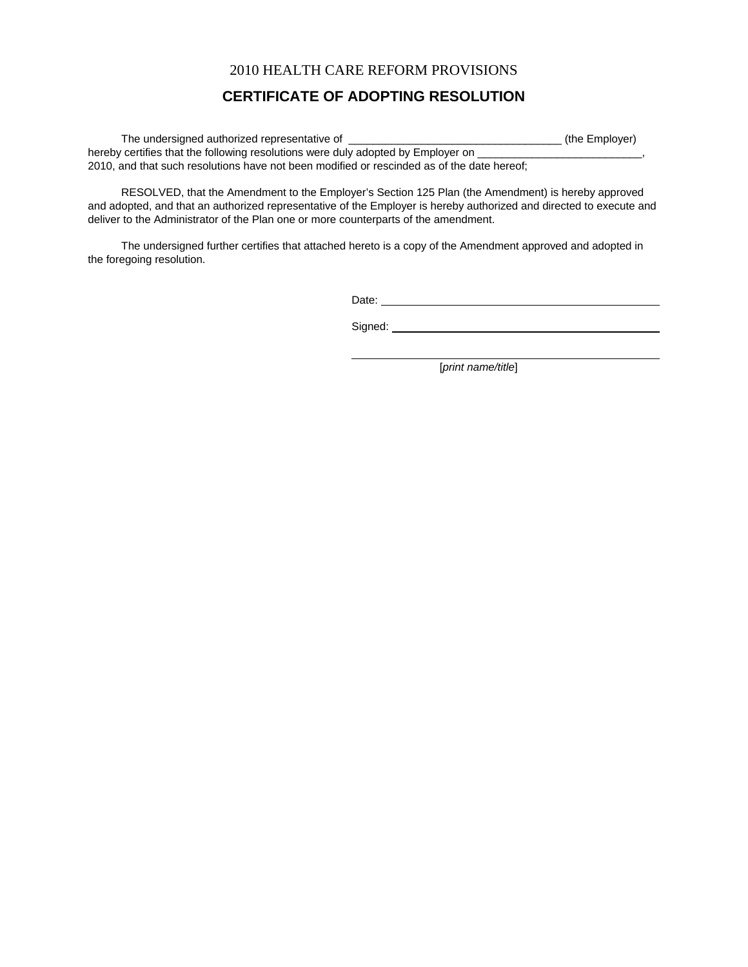# **CERTIFICATE OF ADOPTING RESOLUTION**

| The undersigned authorized representative of                                               | (the Employer) |
|--------------------------------------------------------------------------------------------|----------------|
| hereby certifies that the following resolutions were duly adopted by Employer on           |                |
| 2010, and that such resolutions have not been modified or rescinded as of the date hereof; |                |

 RESOLVED, that the Amendment to the Employer's Section 125 Plan (the Amendment) is hereby approved and adopted, and that an authorized representative of the Employer is hereby authorized and directed to execute and deliver to the Administrator of the Plan one or more counterparts of the amendment.

 The undersigned further certifies that attached hereto is a copy of the Amendment approved and adopted in the foregoing resolution.

 $\overline{a}$ 

Date:

Signed:

[*print name/title*]